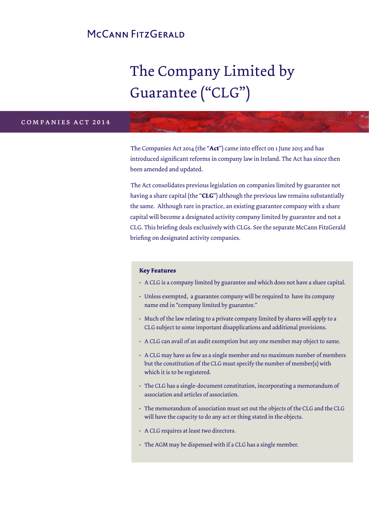# MCCANN FITZGERALD

# The Company Limited by Guarantee ("CLG")

#### c o m p a n i e s b i l l 2 0 1 2 companies act 2014

The Companies Act 2014 (the "**Act**") came into effect on 1 June 2015 and has introduced significant reforms in company law in Ireland. The Act has since then been amended and updated.

The Act consolidates previous legislation on companies limited by guarantee not having a share capital (the "**CLG**") although the previous law remains substantially the same. Although rare in practice, an existing guarantee company with a share capital will become a designated activity company limited by guarantee and not a CLG. This briefing deals exclusively with CLGs. See the separate McCann FitzGerald briefing on designated activity companies.

#### **Key Features**

- A CLG is a company limited by guarantee and which does not have a share capital.
- Unless exempted, a guarantee company will be required to have its company name end in "company limited by guarantee."
- Much of the law relating to a private company limited by shares will apply to a CLG subject to some important disapplications and additional provisions.
- A CLG can avail of an audit exemption but any one member may object to same.
- A CLG may have as few as a single member and no maximum number of members but the constitution of the CLG must specify the number of member(s) with which it is to be registered.
- The CLG has a single-document constitution, incorporating a memorandum of association and articles of association.
- The memorandum of association must set out the objects of the CLG and the CLG will have the capacity to do any act or thing stated in the objects.
- A CLG requires at least two directors.
- The AGM may be dispensed with if a CLG has a single member.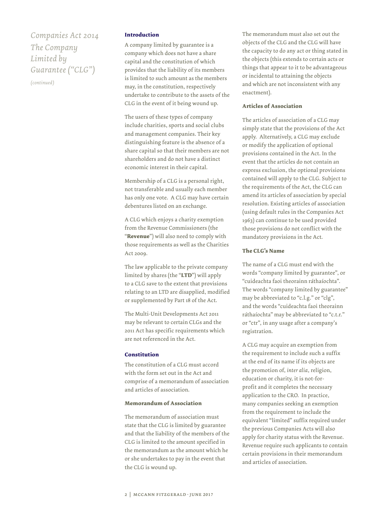# *Companies Act 2014 The Company Limited by Guarantee ("CLG")*

*(continued)*

#### **Introduction**

A company limited by guarantee is a company which does not have a share capital and the constitution of which provides that the liability of its members is limited to such amount as the members may, in the constitution, respectively undertake to contribute to the assets of the CLG in the event of it being wound up.

The users of these types of company include charities, sports and social clubs and management companies. Their key distinguishing feature is the absence of a share capital so that their members are not shareholders and do not have a distinct economic interest in their capital.

Membership of a CLG is a personal right, not transferable and usually each member has only one vote. A CLG may have certain debentures listed on an exchange.

A CLG which enjoys a charity exemption from the Revenue Commissioners (the "**Revenue**") will also need to comply with those requirements as well as the Charities Act 2009.

The law applicable to the private company limited by shares (the "**LTD**") will apply to a CLG save to the extent that provisions relating to an LTD are disapplied, modified or supplemented by Part 18 of the Act.

The Multi-Unit Developments Act 2011 may be relevant to certain CLGs and the 2011 Act has specific requirements which are not referenced in the Act.

#### **Constitution**

The constitution of a CLG must accord with the form set out in the Act and comprise of a memorandum of association and articles of association.

#### **Memorandum of Association**

The memorandum of association must state that the CLG is limited by guarantee and that the liability of the members of the CLG is limited to the amount specified in the memorandum as the amount which he or she undertakes to pay in the event that the CLG is wound up.

The memorandum must also set out the objects of the CLG and the CLG will have the capacity to do any act or thing stated in the objects (this extends to certain acts or things that appear to it to be advantageous or incidental to attaining the objects and which are not inconsistent with any enactment).

#### **Articles of Association**

The articles of association of a CLG may simply state that the provisions of the Act apply. Alternatively, a CLG may exclude or modify the application of optional provisions contained in the Act. In the event that the articles do not contain an express exclusion, the optional provisions contained will apply to the CLG. Subject to the requirements of the Act, the CLG can amend its articles of association by special resolution. Existing articles of association (using default rules in the Companies Act 1963) can continue to be used provided those provisions do not conflict with the mandatory provisions in the Act.

#### **The CLG's Name**

The name of a CLG must end with the words "company limited by guarantee", or "cuideachta faoi theorainn ráthaíochta". The words "company limited by guarantee" may be abbreviated to "c.l.g." or "clg", and the words "cuideachta faoi theorainn ráthaíochta" may be abbreviated to "c.t.r." or "ctr", in any usage after a company's registration.

A CLG may acquire an exemption from the requirement to include such a suffix at the end of its name if its objects are the promotion of, *inter alia*, religion, education or charity, it is not-forprofit and it completes the necessary application to the CRO. In practice, many companies seeking an exemption from the requirement to include the equivalent "limited" suffix required under the previous Companies Acts will also apply for charity status with the Revenue. Revenue require such applicants to contain certain provisions in their memorandum and articles of association.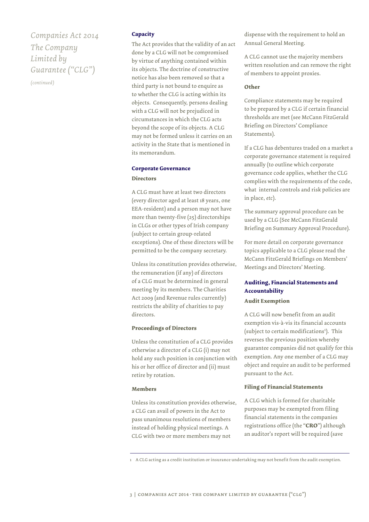*Companies Act 2014 The Company Limited by Guarantee ("CLG")*

*(continued)*

#### **Capacity**

The Act provides that the validity of an act done by a CLG will not be compromised by virtue of anything contained within its objects. The doctrine of constructive notice has also been removed so that a third party is not bound to enquire as to whether the CLG is acting within its objects. Consequently, persons dealing with a CLG will not be prejudiced in circumstances in which the CLG acts beyond the scope of its objects. A CLG may not be formed unless it carries on an activity in the State that is mentioned in its memorandum.

#### **Corporate Governance**

#### **Directors**

A CLG must have at least two directors (every director aged at least 18 years, one EEA-resident) and a person may not have more than twenty-five (25) directorships in CLGs or other types of Irish company (subject to certain group-related exceptions). One of these directors will be permitted to be the company secretary.

Unless its constitution provides otherwise, the remuneration (if any) of directors of a CLG must be determined in general meeting by its members. The Charities Act 2009 (and Revenue rules currently) restricts the ability of charities to pay directors.

#### **Proceedings of Directors**

Unless the constitution of a CLG provides otherwise a director of a CLG (i) may not hold any such position in conjunction with his or her office of director and (ii) must retire by rotation.

#### **Members**

Unless its constitution provides otherwise, a CLG can avail of powers in the Act to pass unanimous resolutions of members instead of holding physical meetings. A CLG with two or more members may not

dispense with the requirement to hold an Annual General Meeting.

A CLG cannot use the majority members written resolution and can remove the right of members to appoint proxies.

#### **Other**

Compliance statements may be required to be prepared by a CLG if certain financial thresholds are met (see McCann FitzGerald Briefing on Directors' Compliance Statements).

If a CLG has debentures traded on a market a corporate governance statement is required annually (to outline which corporate governance code applies, whether the CLG complies with the requirements of the code, what internal controls and risk policies are in place, *etc*).

The summary approval procedure can be used by a CLG (See McCann FitzGerald Briefing on Summary Approval Procedure).

For more detail on corporate governance topics applicable to a CLG please read the McCann FitzGerald Briefings on Members' Meetings and Directors' Meeting.

### **Auditing, Financial Statements and Accountability Audit Exemption**

A CLG will now benefit from an audit exemption vis-à-vis its financial accounts (subject to certain modifications<sup>1</sup>). This reverses the previous position whereby guarantee companies did not qualify for this exemption. Any one member of a CLG may object and require an audit to be performed pursuant to the Act.

#### **Filing of Financial Statements**

A CLG which is formed for charitable purposes may be exempted from filing financial statements in the companies registrations office (the "**CRO**") although an auditor's report will be required (save

1 A CLG acting as a credit institution or insurance undertaking may not benefit from the audit exemption.